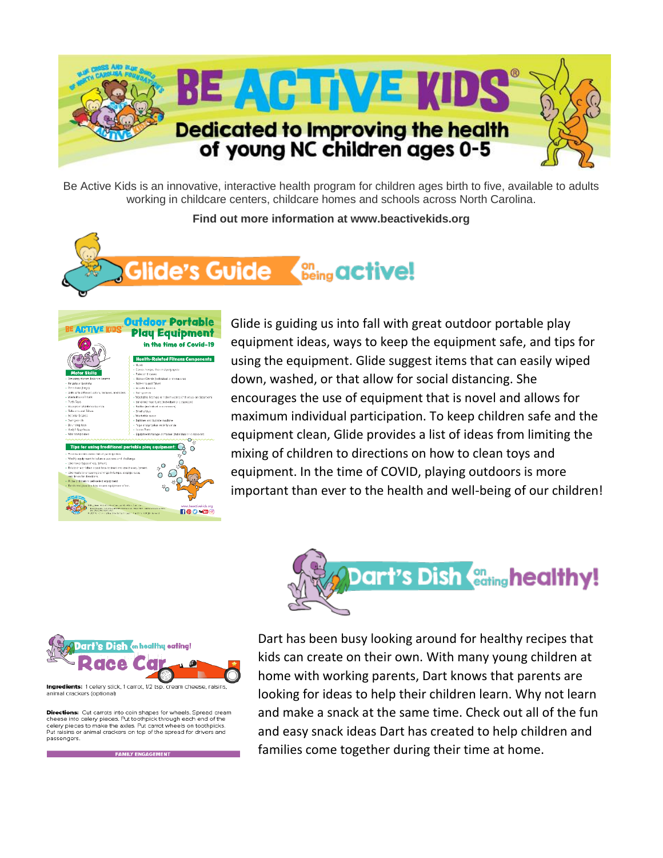

Be Active Kids is an innovative, interactive health program for children ages birth to five, available to adults working in childcare centers, childcare homes and schools across North Carolina.

**Find out more information at www.beactivekids.org**





Glide is guiding us into fall with great outdoor portable play equipment ideas, ways to keep the equipment safe, and tips for using the equipment. Glide suggest items that can easily wiped down, washed, or that allow for social distancing. She encourages the use of equipment that is novel and allows for maximum individual participation. To keep children safe and the equipment clean, Glide provides a list of ideas from limiting the mixing of children to directions on how to clean toys and equipment. In the time of COVID, playing outdoors is more important than ever to the health and well-being of our children!





**Directions:** Cut carrots into coin shapes for wheels. Spread cream<br>cheese into celery pieces. Put toothpick through each end of the celery pieces to make the axles. Put carrot wheels on toothpicks. sins or animal crackers on top of the spread for drivers and passengers.

**FAMILY ENGAGEMENT** 

Dart has been busy looking around for healthy recipes that kids can create on their own. With many young children at home with working parents, Dart knows that parents are looking for ideas to help their children learn. Why not learn and make a snack at the same time. Check out all of the fun and easy snack ideas Dart has created to help children and families come together during their time at home.